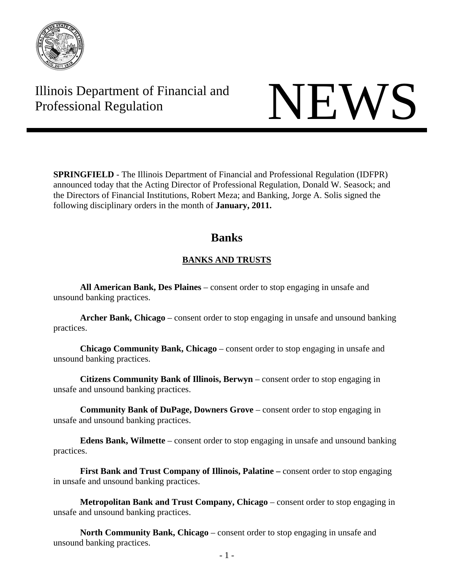

# Illinois Department of Financial and Illinois Department of Financial and<br>Professional Regulation NEWS

**SPRINGFIELD** - The Illinois Department of Financial and Professional Regulation (IDFPR) announced today that the Acting Director of Professional Regulation, Donald W. Seasock; and the Directors of Financial Institutions, Robert Meza; and Banking, Jorge A. Solis signed the following disciplinary orders in the month of **January, 2011.** 

# **Banks**

## **BANKS AND TRUSTS**

**All American Bank, Des Plaines** – consent order to stop engaging in unsafe and unsound banking practices.

**Archer Bank, Chicago** – consent order to stop engaging in unsafe and unsound banking practices.

 **Chicago Community Bank, Chicago** – consent order to stop engaging in unsafe and unsound banking practices.

**Citizens Community Bank of Illinois, Berwyn** – consent order to stop engaging in unsafe and unsound banking practices.

 **Community Bank of DuPage, Downers Grove** – consent order to stop engaging in unsafe and unsound banking practices.

 **Edens Bank, Wilmette** – consent order to stop engaging in unsafe and unsound banking practices.

**First Bank and Trust Company of Illinois, Palatine –** consent order to stop engaging in unsafe and unsound banking practices.

**Metropolitan Bank and Trust Company, Chicago** – consent order to stop engaging in unsafe and unsound banking practices.

 **North Community Bank, Chicago** – consent order to stop engaging in unsafe and unsound banking practices.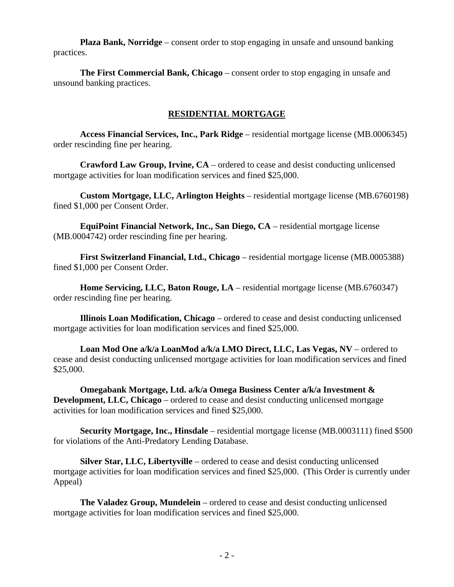**Plaza Bank, Norridge** – consent order to stop engaging in unsafe and unsound banking practices.

 **The First Commercial Bank, Chicago** – consent order to stop engaging in unsafe and unsound banking practices.

#### **RESIDENTIAL MORTGAGE**

**Access Financial Services, Inc., Park Ridge** – residential mortgage license (MB.0006345) order rescinding fine per hearing.

**Crawford Law Group, Irvine, CA** – ordered to cease and desist conducting unlicensed mortgage activities for loan modification services and fined \$25,000.

**Custom Mortgage, LLC, Arlington Heights** – residential mortgage license (MB.6760198) fined \$1,000 per Consent Order.

**EquiPoint Financial Network, Inc., San Diego, CA** – residential mortgage license (MB.0004742) order rescinding fine per hearing.

**First Switzerland Financial, Ltd., Chicago** – residential mortgage license (MB.0005388) fined \$1,000 per Consent Order.

**Home Servicing, LLC, Baton Rouge, LA** – residential mortgage license (MB.6760347) order rescinding fine per hearing.

**Illinois Loan Modification, Chicago** – ordered to cease and desist conducting unlicensed mortgage activities for loan modification services and fined \$25,000.

**Loan Mod One a/k/a LoanMod a/k/a LMO Direct, LLC, Las Vegas, NV** – ordered to cease and desist conducting unlicensed mortgage activities for loan modification services and fined \$25,000.

**Omegabank Mortgage, Ltd. a/k/a Omega Business Center a/k/a Investment & Development, LLC, Chicago** – ordered to cease and desist conducting unlicensed mortgage activities for loan modification services and fined \$25,000.

**Security Mortgage, Inc., Hinsdale** – residential mortgage license (MB.0003111) fined \$500 for violations of the Anti-Predatory Lending Database.

**Silver Star, LLC, Libertyville** – ordered to cease and desist conducting unlicensed mortgage activities for loan modification services and fined \$25,000. (This Order is currently under Appeal)

**The Valadez Group, Mundelein** – ordered to cease and desist conducting unlicensed mortgage activities for loan modification services and fined \$25,000.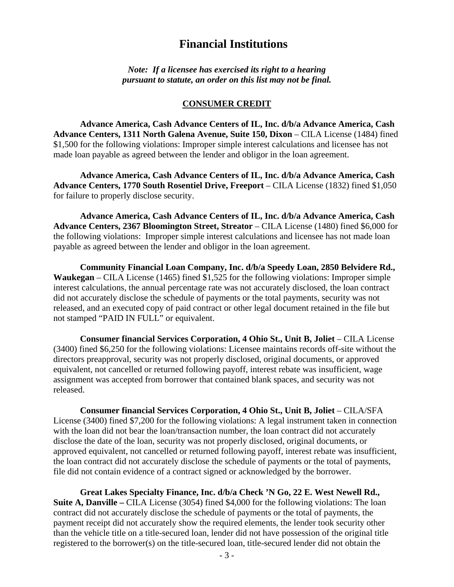# **Financial Institutions**

*Note: If a licensee has exercised its right to a hearing pursuant to statute, an order on this list may not be final.*

#### **CONSUMER CREDIT**

 **Advance America, Cash Advance Centers of IL, Inc. d/b/a Advance America, Cash Advance Centers, 1311 North Galena Avenue, Suite 150, Dixon** – CILA License (1484) fined \$1,500 for the following violations: Improper simple interest calculations and licensee has not made loan payable as agreed between the lender and obligor in the loan agreement.

 **Advance America, Cash Advance Centers of IL, Inc. d/b/a Advance America, Cash Advance Centers, 1770 South Rosentiel Drive, Freeport** – CILA License (1832) fined \$1,050 for failure to properly disclose security.

 **Advance America, Cash Advance Centers of IL, Inc. d/b/a Advance America, Cash Advance Centers, 2367 Bloomington Street, Streator** – CILA License (1480) fined \$6,000 for the following violations: Improper simple interest calculations and licensee has not made loan payable as agreed between the lender and obligor in the loan agreement.

 **Community Financial Loan Company, Inc. d/b/a Speedy Loan, 2850 Belvidere Rd., Waukegan** – CILA License (1465) fined \$1,525 for the following violations: Improper simple interest calculations, the annual percentage rate was not accurately disclosed, the loan contract did not accurately disclose the schedule of payments or the total payments, security was not released, and an executed copy of paid contract or other legal document retained in the file but not stamped "PAID IN FULL" or equivalent.

 **Consumer financial Services Corporation, 4 Ohio St., Unit B, Joliet** – CILA License (3400) fined \$6,250 for the following violations: Licensee maintains records off-site without the directors preapproval, security was not properly disclosed, original documents, or approved equivalent, not cancelled or returned following payoff, interest rebate was insufficient, wage assignment was accepted from borrower that contained blank spaces, and security was not released.

 **Consumer financial Services Corporation, 4 Ohio St., Unit B, Joliet** – CILA/SFA License (3400) fined \$7,200 for the following violations: A legal instrument taken in connection with the loan did not bear the loan/transaction number, the loan contract did not accurately disclose the date of the loan, security was not properly disclosed, original documents, or approved equivalent, not cancelled or returned following payoff, interest rebate was insufficient, the loan contract did not accurately disclose the schedule of payments or the total of payments, file did not contain evidence of a contract signed or acknowledged by the borrower.

 **Great Lakes Specialty Finance, Inc. d/b/a Check 'N Go, 22 E. West Newell Rd., Suite A, Danville** – CILA License (3054) fined \$4,000 for the following violations: The loan contract did not accurately disclose the schedule of payments or the total of payments, the payment receipt did not accurately show the required elements, the lender took security other than the vehicle title on a title-secured loan, lender did not have possession of the original title registered to the borrower(s) on the title-secured loan, title-secured lender did not obtain the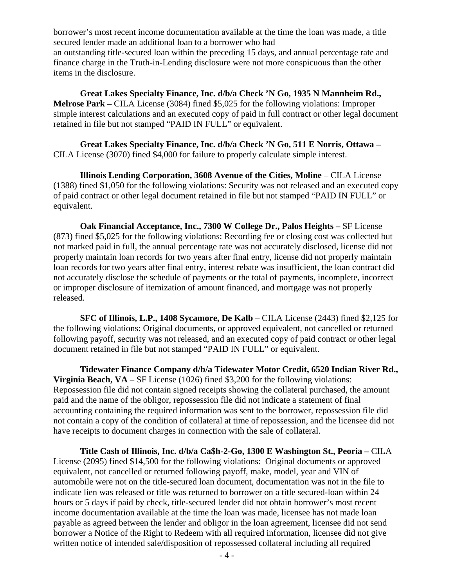borrower's most recent income documentation available at the time the loan was made, a title secured lender made an additional loan to a borrower who had an outstanding title-secured loan within the preceding 15 days, and annual percentage rate and finance charge in the Truth-in-Lending disclosure were not more conspicuous than the other items in the disclosure.

 **Great Lakes Specialty Finance, Inc. d/b/a Check 'N Go, 1935 N Mannheim Rd., Melrose Park –** CILA License (3084) fined \$5,025 for the following violations: Improper simple interest calculations and an executed copy of paid in full contract or other legal document retained in file but not stamped "PAID IN FULL" or equivalent.

 **Great Lakes Specialty Finance, Inc. d/b/a Check 'N Go, 511 E Norris, Ottawa –**  CILA License (3070) fined \$4,000 for failure to properly calculate simple interest.

 **Illinois Lending Corporation, 3608 Avenue of the Cities, Moline – CILA License** (1388) fined \$1,050 for the following violations: Security was not released and an executed copy of paid contract or other legal document retained in file but not stamped "PAID IN FULL" or equivalent.

 **Oak Financial Acceptance, Inc., 7300 W College Dr., Palos Heights –** SF License (873) fined \$5,025 for the following violations: Recording fee or closing cost was collected but not marked paid in full, the annual percentage rate was not accurately disclosed, license did not properly maintain loan records for two years after final entry, license did not properly maintain loan records for two years after final entry, interest rebate was insufficient, the loan contract did not accurately disclose the schedule of payments or the total of payments, incomplete, incorrect or improper disclosure of itemization of amount financed, and mortgage was not properly released.

 **SFC of Illinois, L.P., 1408 Sycamore, De Kalb** – CILA License (2443) fined \$2,125 for the following violations: Original documents, or approved equivalent, not cancelled or returned following payoff, security was not released, and an executed copy of paid contract or other legal document retained in file but not stamped "PAID IN FULL" or equivalent.

 **Tidewater Finance Company d/b/a Tidewater Motor Credit, 6520 Indian River Rd., Virginia Beach, VA** – SF License (1026) fined \$3,200 for the following violations: Repossession file did not contain signed receipts showing the collateral purchased, the amount paid and the name of the obligor, repossession file did not indicate a statement of final accounting containing the required information was sent to the borrower, repossession file did not contain a copy of the condition of collateral at time of repossession, and the licensee did not have receipts to document charges in connection with the sale of collateral.

 **Title Cash of Illinois, Inc. d/b/a Ca\$h-2-Go, 1300 E Washington St., Peoria –** CILA License (2095) fined \$14,500 for the following violations: Original documents or approved equivalent, not cancelled or returned following payoff, make, model, year and VIN of automobile were not on the title-secured loan document, documentation was not in the file to indicate lien was released or title was returned to borrower on a title secured-loan within 24 hours or 5 days if paid by check, title-secured lender did not obtain borrower's most recent income documentation available at the time the loan was made, licensee has not made loan payable as agreed between the lender and obligor in the loan agreement, licensee did not send borrower a Notice of the Right to Redeem with all required information, licensee did not give written notice of intended sale/disposition of repossessed collateral including all required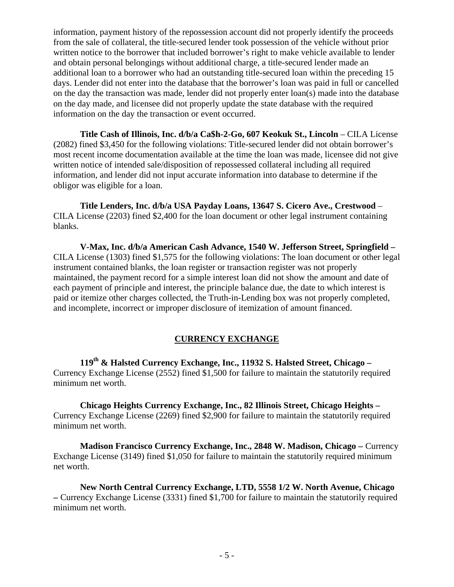information, payment history of the repossession account did not properly identify the proceeds from the sale of collateral, the title-secured lender took possession of the vehicle without prior written notice to the borrower that included borrower's right to make vehicle available to lender and obtain personal belongings without additional charge, a title-secured lender made an additional loan to a borrower who had an outstanding title-secured loan within the preceding 15 days. Lender did not enter into the database that the borrower's loan was paid in full or cancelled on the day the transaction was made, lender did not properly enter loan(s) made into the database on the day made, and licensee did not properly update the state database with the required information on the day the transaction or event occurred.

 **Title Cash of Illinois, Inc. d/b/a Ca\$h-2-Go, 607 Keokuk St., Lincoln** – CILA License (2082) fined \$3,450 for the following violations: Title-secured lender did not obtain borrower's most recent income documentation available at the time the loan was made, licensee did not give written notice of intended sale/disposition of repossessed collateral including all required information, and lender did not input accurate information into database to determine if the obligor was eligible for a loan.

 **Title Lenders, Inc. d/b/a USA Payday Loans, 13647 S. Cicero Ave., Crestwood** – CILA License (2203) fined \$2,400 for the loan document or other legal instrument containing blanks.

 **V-Max, Inc. d/b/a American Cash Advance, 1540 W. Jefferson Street, Springfield –**  CILA License (1303) fined \$1,575 for the following violations: The loan document or other legal instrument contained blanks, the loan register or transaction register was not properly maintained, the payment record for a simple interest loan did not show the amount and date of each payment of principle and interest, the principle balance due, the date to which interest is paid or itemize other charges collected, the Truth-in-Lending box was not properly completed, and incomplete, incorrect or improper disclosure of itemization of amount financed.

#### **CURRENCY EXCHANGE**

 **119th & Halsted Currency Exchange, Inc., 11932 S. Halsted Street, Chicago –** Currency Exchange License (2552) fined \$1,500 for failure to maintain the statutorily required minimum net worth.

 **Chicago Heights Currency Exchange, Inc., 82 Illinois Street, Chicago Heights –** Currency Exchange License (2269) fined \$2,900 for failure to maintain the statutorily required minimum net worth.

 **Madison Francisco Currency Exchange, Inc., 2848 W. Madison, Chicago –** Currency Exchange License (3149) fined \$1,050 for failure to maintain the statutorily required minimum net worth.

 **New North Central Currency Exchange, LTD, 5558 1/2 W. North Avenue, Chicago –** Currency Exchange License (3331) fined \$1,700 for failure to maintain the statutorily required minimum net worth.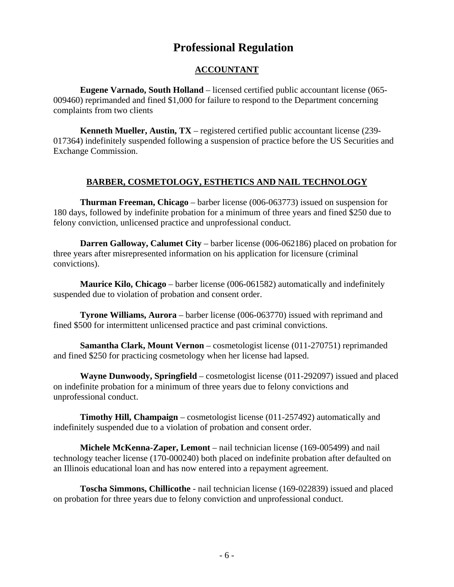# **Professional Regulation**

#### **ACCOUNTANT**

 **Eugene Varnado, South Holland** – licensed certified public accountant license (065- 009460) reprimanded and fined \$1,000 for failure to respond to the Department concerning complaints from two clients

 **Kenneth Mueller, Austin, TX** – registered certified public accountant license (239- 017364) indefinitely suspended following a suspension of practice before the US Securities and Exchange Commission.

#### **BARBER, COSMETOLOGY, ESTHETICS AND NAIL TECHNOLOGY**

 **Thurman Freeman, Chicago** – barber license (006-063773) issued on suspension for 180 days, followed by indefinite probation for a minimum of three years and fined \$250 due to felony conviction, unlicensed practice and unprofessional conduct.

 **Darren Galloway, Calumet City** – barber license (006-062186) placed on probation for three years after misrepresented information on his application for licensure (criminal convictions).

 **Maurice Kilo, Chicago** – barber license (006-061582) automatically and indefinitely suspended due to violation of probation and consent order.

 **Tyrone Williams, Aurora** – barber license (006-063770) issued with reprimand and fined \$500 for intermittent unlicensed practice and past criminal convictions.

**Samantha Clark, Mount Vernon** – cosmetologist license (011-270751) reprimanded and fined \$250 for practicing cosmetology when her license had lapsed.

 **Wayne Dunwoody, Springfield** – cosmetologist license (011-292097) issued and placed on indefinite probation for a minimum of three years due to felony convictions and unprofessional conduct.

 **Timothy Hill, Champaign** – cosmetologist license (011-257492) automatically and indefinitely suspended due to a violation of probation and consent order.

 **Michele McKenna-Zaper, Lemont** – nail technician license (169-005499) and nail technology teacher license (170-000240) both placed on indefinite probation after defaulted on an Illinois educational loan and has now entered into a repayment agreement.

 **Toscha Simmons, Chillicothe** - nail technician license (169-022839) issued and placed on probation for three years due to felony conviction and unprofessional conduct.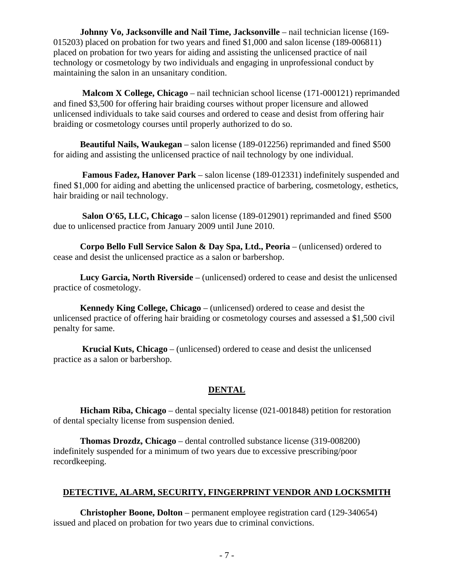**Johnny Vo, Jacksonville and Nail Time, Jacksonville** – nail technician license (169- 015203) placed on probation for two years and fined \$1,000 and salon license (189-006811) placed on probation for two years for aiding and assisting the unlicensed practice of nail technology or cosmetology by two individuals and engaging in unprofessional conduct by maintaining the salon in an unsanitary condition.

 **Malcom X College, Chicago** – nail technician school license (171-000121) reprimanded and fined \$3,500 for offering hair braiding courses without proper licensure and allowed unlicensed individuals to take said courses and ordered to cease and desist from offering hair braiding or cosmetology courses until properly authorized to do so.

 **Beautiful Nails, Waukegan** – salon license (189-012256) reprimanded and fined \$500 for aiding and assisting the unlicensed practice of nail technology by one individual.

 **Famous Fadez, Hanover Park** – salon license (189-012331) indefinitely suspended and fined \$1,000 for aiding and abetting the unlicensed practice of barbering, cosmetology, esthetics, hair braiding or nail technology.

 **Salon O'65, LLC, Chicago** – salon license (189-012901) reprimanded and fined \$500 due to unlicensed practice from January 2009 until June 2010.

 **Corpo Bello Full Service Salon & Day Spa, Ltd., Peoria** – (unlicensed) ordered to cease and desist the unlicensed practice as a salon or barbershop.

 **Lucy Garcia, North Riverside** – (unlicensed) ordered to cease and desist the unlicensed practice of cosmetology.

 **Kennedy King College, Chicago** – (unlicensed) ordered to cease and desist the unlicensed practice of offering hair braiding or cosmetology courses and assessed a \$1,500 civil penalty for same.

 **Krucial Kuts, Chicago** – (unlicensed) ordered to cease and desist the unlicensed practice as a salon or barbershop.

#### **DENTAL**

 **Hicham Riba, Chicago** – dental specialty license (021-001848) petition for restoration of dental specialty license from suspension denied.

 **Thomas Drozdz, Chicago** – dental controlled substance license (319-008200) indefinitely suspended for a minimum of two years due to excessive prescribing/poor recordkeeping.

#### **DETECTIVE, ALARM, SECURITY, FINGERPRINT VENDOR AND LOCKSMITH**

 **Christopher Boone, Dolton** – permanent employee registration card (129-340654) issued and placed on probation for two years due to criminal convictions.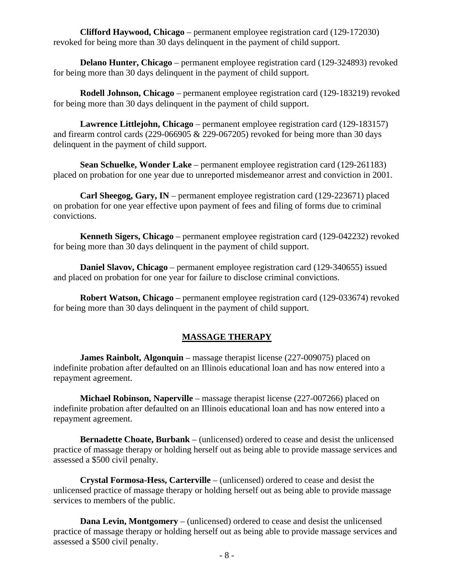**Clifford Haywood, Chicago** – permanent employee registration card (129-172030) revoked for being more than 30 days delinquent in the payment of child support.

**Delano Hunter, Chicago** – permanent employee registration card (129-324893) revoked for being more than 30 days delinquent in the payment of child support.

 **Rodell Johnson, Chicago** – permanent employee registration card (129-183219) revoked for being more than 30 days delinquent in the payment of child support.

 **Lawrence Littlejohn, Chicago** – permanent employee registration card (129-183157) and firearm control cards (229-066905 & 229-067205) revoked for being more than 30 days delinquent in the payment of child support.

 **Sean Schuelke, Wonder Lake** – permanent employee registration card (129-261183) placed on probation for one year due to unreported misdemeanor arrest and conviction in 2001.

 **Carl Sheegog, Gary, IN** – permanent employee registration card (129-223671) placed on probation for one year effective upon payment of fees and filing of forms due to criminal convictions.

 **Kenneth Sigers, Chicago** – permanent employee registration card (129-042232) revoked for being more than 30 days delinquent in the payment of child support.

 **Daniel Slavov, Chicago** – permanent employee registration card (129-340655) issued and placed on probation for one year for failure to disclose criminal convictions.

 **Robert Watson, Chicago** – permanent employee registration card (129-033674) revoked for being more than 30 days delinquent in the payment of child support.

#### **MASSAGE THERAPY**

**James Rainbolt, Algonquin** – massage therapist license (227-009075) placed on indefinite probation after defaulted on an Illinois educational loan and has now entered into a repayment agreement.

 **Michael Robinson, Naperville** – massage therapist license (227-007266) placed on indefinite probation after defaulted on an Illinois educational loan and has now entered into a repayment agreement.

 **Bernadette Choate, Burbank** – (unlicensed) ordered to cease and desist the unlicensed practice of massage therapy or holding herself out as being able to provide massage services and assessed a \$500 civil penalty.

 **Crystal Formosa-Hess, Carterville** – (unlicensed) ordered to cease and desist the unlicensed practice of massage therapy or holding herself out as being able to provide massage services to members of the public.

 **Dana Levin, Montgomery** – (unlicensed) ordered to cease and desist the unlicensed practice of massage therapy or holding herself out as being able to provide massage services and assessed a \$500 civil penalty.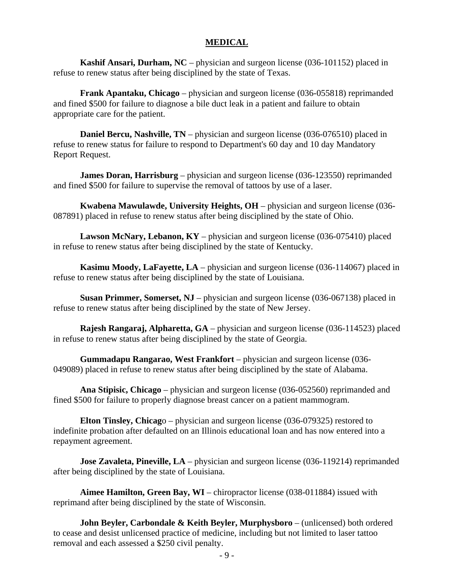#### **MEDICAL**

 **Kashif Ansari, Durham, NC** – physician and surgeon license (036-101152) placed in refuse to renew status after being disciplined by the state of Texas.

 **Frank Apantaku, Chicago** – physician and surgeon license (036-055818) reprimanded and fined \$500 for failure to diagnose a bile duct leak in a patient and failure to obtain appropriate care for the patient.

**Daniel Bercu, Nashville, TN** – physician and surgeon license (036-076510) placed in refuse to renew status for failure to respond to Department's 60 day and 10 day Mandatory Report Request.

**James Doran, Harrisburg** – physician and surgeon license (036-123550) reprimanded and fined \$500 for failure to supervise the removal of tattoos by use of a laser.

 **Kwabena Mawulawde, University Heights, OH** – physician and surgeon license (036- 087891) placed in refuse to renew status after being disciplined by the state of Ohio.

 **Lawson McNary, Lebanon, KY** – physician and surgeon license (036-075410) placed in refuse to renew status after being disciplined by the state of Kentucky.

 **Kasimu Moody, LaFayette, LA** – physician and surgeon license (036-114067) placed in refuse to renew status after being disciplined by the state of Louisiana.

 **Susan Primmer, Somerset, NJ** – physician and surgeon license (036-067138) placed in refuse to renew status after being disciplined by the state of New Jersey.

 **Rajesh Rangaraj, Alpharetta, GA** – physician and surgeon license (036-114523) placed in refuse to renew status after being disciplined by the state of Georgia.

 **Gummadapu Rangarao, West Frankfort** – physician and surgeon license (036- 049089) placed in refuse to renew status after being disciplined by the state of Alabama.

 **Ana Stipisic, Chicago** – physician and surgeon license (036-052560) reprimanded and fined \$500 for failure to properly diagnose breast cancer on a patient mammogram.

 **Elton Tinsley, Chicag**o – physician and surgeon license (036-079325) restored to indefinite probation after defaulted on an Illinois educational loan and has now entered into a repayment agreement.

**Jose Zavaleta, Pineville, LA** – physician and surgeon license (036-119214) reprimanded after being disciplined by the state of Louisiana.

 **Aimee Hamilton, Green Bay, WI** – chiropractor license (038-011884) issued with reprimand after being disciplined by the state of Wisconsin.

 **John Beyler, Carbondale & Keith Beyler, Murphysboro** – (unlicensed) both ordered to cease and desist unlicensed practice of medicine, including but not limited to laser tattoo removal and each assessed a \$250 civil penalty.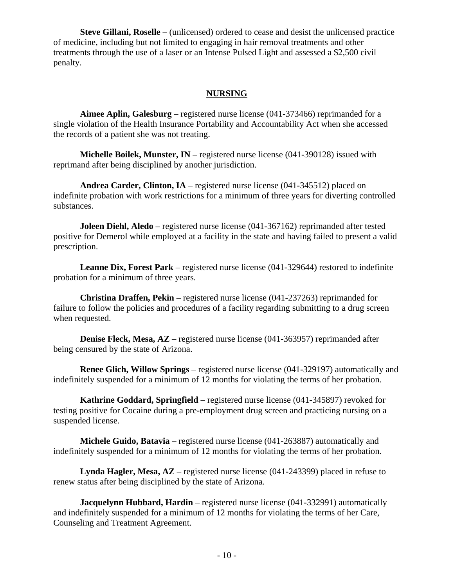**Steve Gillani, Roselle** – (unlicensed) ordered to cease and desist the unlicensed practice of medicine, including but not limited to engaging in hair removal treatments and other treatments through the use of a laser or an Intense Pulsed Light and assessed a \$2,500 civil penalty.

#### **NURSING**

 **Aimee Aplin, Galesburg** – registered nurse license (041-373466) reprimanded for a single violation of the Health Insurance Portability and Accountability Act when she accessed the records of a patient she was not treating.

 **Michelle Boilek, Munster, IN** – registered nurse license (041-390128) issued with reprimand after being disciplined by another jurisdiction.

 **Andrea Carder, Clinton, IA** – registered nurse license (041-345512) placed on indefinite probation with work restrictions for a minimum of three years for diverting controlled substances.

**Joleen Diehl, Aledo** – registered nurse license (041-367162) reprimanded after tested positive for Demerol while employed at a facility in the state and having failed to present a valid prescription.

 **Leanne Dix, Forest Park** – registered nurse license (041-329644) restored to indefinite probation for a minimum of three years.

 **Christina Draffen, Pekin** – registered nurse license (041-237263) reprimanded for failure to follow the policies and procedures of a facility regarding submitting to a drug screen when requested.

**Denise Fleck, Mesa, AZ** – registered nurse license (041-363957) reprimanded after being censured by the state of Arizona.

 **Renee Glich, Willow Springs** – registered nurse license (041-329197) automatically and indefinitely suspended for a minimum of 12 months for violating the terms of her probation.

 **Kathrine Goddard, Springfield** – registered nurse license (041-345897) revoked for testing positive for Cocaine during a pre-employment drug screen and practicing nursing on a suspended license.

 **Michele Guido, Batavia** – registered nurse license (041-263887) automatically and indefinitely suspended for a minimum of 12 months for violating the terms of her probation.

 **Lynda Hagler, Mesa, AZ** – registered nurse license (041-243399) placed in refuse to renew status after being disciplined by the state of Arizona.

**Jacquelynn Hubbard, Hardin** – registered nurse license (041-332991) automatically and indefinitely suspended for a minimum of 12 months for violating the terms of her Care, Counseling and Treatment Agreement.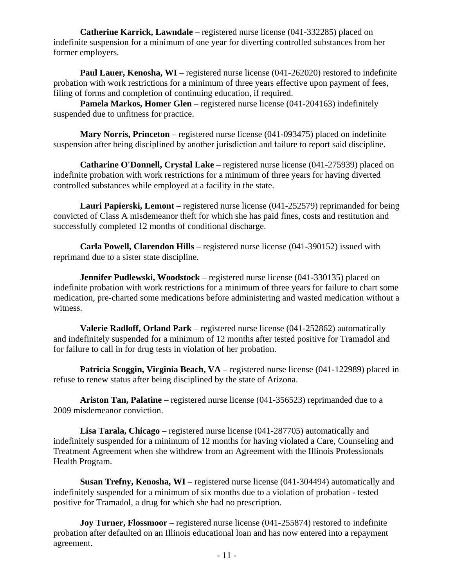**Catherine Karrick, Lawndale** – registered nurse license (041-332285) placed on indefinite suspension for a minimum of one year for diverting controlled substances from her former employers.

**Paul Lauer, Kenosha, WI** – registered nurse license (041-262020) restored to indefinite probation with work restrictions for a minimum of three years effective upon payment of fees, filing of forms and completion of continuing education, if required.

 **Pamela Markos, Homer Glen** – registered nurse license (041-204163) indefinitely suspended due to unfitness for practice.

 **Mary Norris, Princeton** – registered nurse license (041-093475) placed on indefinite suspension after being disciplined by another jurisdiction and failure to report said discipline.

 **Catharine O'Donnell, Crystal Lake** – registered nurse license (041-275939) placed on indefinite probation with work restrictions for a minimum of three years for having diverted controlled substances while employed at a facility in the state.

 **Lauri Papierski, Lemont** – registered nurse license (041-252579) reprimanded for being convicted of Class A misdemeanor theft for which she has paid fines, costs and restitution and successfully completed 12 months of conditional discharge.

 **Carla Powell, Clarendon Hills** – registered nurse license (041-390152) issued with reprimand due to a sister state discipline.

**Jennifer Pudlewski, Woodstock** – registered nurse license (041-330135) placed on indefinite probation with work restrictions for a minimum of three years for failure to chart some medication, pre-charted some medications before administering and wasted medication without a witness.

 **Valerie Radloff, Orland Park** – registered nurse license (041-252862) automatically and indefinitely suspended for a minimum of 12 months after tested positive for Tramadol and for failure to call in for drug tests in violation of her probation.

 **Patricia Scoggin, Virginia Beach, VA** – registered nurse license (041-122989) placed in refuse to renew status after being disciplined by the state of Arizona.

 **Ariston Tan, Palatine** – registered nurse license (041-356523) reprimanded due to a 2009 misdemeanor conviction.

 **Lisa Tarala, Chicago** – registered nurse license (041-287705) automatically and indefinitely suspended for a minimum of 12 months for having violated a Care, Counseling and Treatment Agreement when she withdrew from an Agreement with the Illinois Professionals Health Program.

**Susan Trefny, Kenosha, WI** – registered nurse license (041-304494) automatically and indefinitely suspended for a minimum of six months due to a violation of probation - tested positive for Tramadol, a drug for which she had no prescription.

 **Joy Turner, Flossmoor** – registered nurse license (041-255874) restored to indefinite probation after defaulted on an Illinois educational loan and has now entered into a repayment agreement.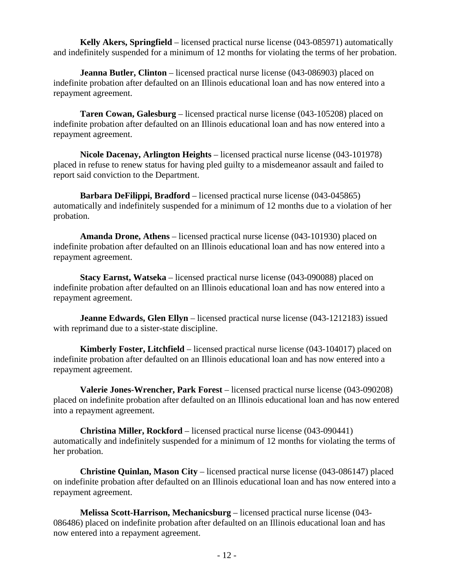**Kelly Akers, Springfield** – licensed practical nurse license (043-085971) automatically and indefinitely suspended for a minimum of 12 months for violating the terms of her probation.

**Jeanna Butler, Clinton** – licensed practical nurse license (043-086903) placed on indefinite probation after defaulted on an Illinois educational loan and has now entered into a repayment agreement.

 **Taren Cowan, Galesburg** – licensed practical nurse license (043-105208) placed on indefinite probation after defaulted on an Illinois educational loan and has now entered into a repayment agreement.

 **Nicole Dacenay, Arlington Heights** – licensed practical nurse license (043-101978) placed in refuse to renew status for having pled guilty to a misdemeanor assault and failed to report said conviction to the Department.

 **Barbara DeFilippi, Bradford** – licensed practical nurse license (043-045865) automatically and indefinitely suspended for a minimum of 12 months due to a violation of her probation.

 **Amanda Drone, Athens** – licensed practical nurse license (043-101930) placed on indefinite probation after defaulted on an Illinois educational loan and has now entered into a repayment agreement.

 **Stacy Earnst, Watseka** – licensed practical nurse license (043-090088) placed on indefinite probation after defaulted on an Illinois educational loan and has now entered into a repayment agreement.

**Jeanne Edwards, Glen Ellyn** – licensed practical nurse license (043-1212183) issued with reprimand due to a sister-state discipline.

 **Kimberly Foster, Litchfield** – licensed practical nurse license (043-104017) placed on indefinite probation after defaulted on an Illinois educational loan and has now entered into a repayment agreement.

 **Valerie Jones-Wrencher, Park Forest** – licensed practical nurse license (043-090208) placed on indefinite probation after defaulted on an Illinois educational loan and has now entered into a repayment agreement.

 **Christina Miller, Rockford** – licensed practical nurse license (043-090441) automatically and indefinitely suspended for a minimum of 12 months for violating the terms of her probation.

 **Christine Quinlan, Mason City** – licensed practical nurse license (043-086147) placed on indefinite probation after defaulted on an Illinois educational loan and has now entered into a repayment agreement.

 **Melissa Scott-Harrison, Mechanicsburg** – licensed practical nurse license (043- 086486) placed on indefinite probation after defaulted on an Illinois educational loan and has now entered into a repayment agreement.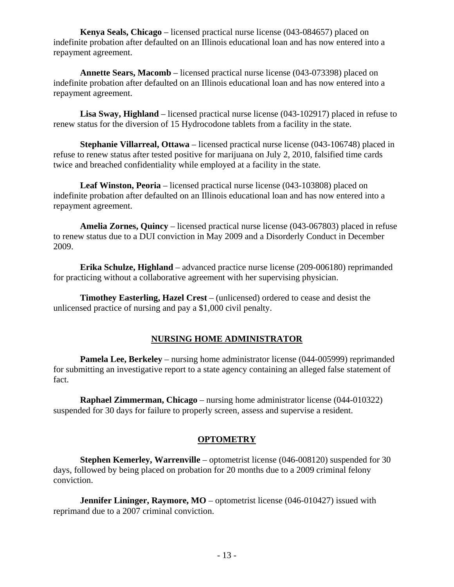**Kenya Seals, Chicago** – licensed practical nurse license (043-084657) placed on indefinite probation after defaulted on an Illinois educational loan and has now entered into a repayment agreement.

 **Annette Sears, Macomb** – licensed practical nurse license (043-073398) placed on indefinite probation after defaulted on an Illinois educational loan and has now entered into a repayment agreement.

 **Lisa Sway, Highland** – licensed practical nurse license (043-102917) placed in refuse to renew status for the diversion of 15 Hydrocodone tablets from a facility in the state.

 **Stephanie Villarreal, Ottawa** – licensed practical nurse license (043-106748) placed in refuse to renew status after tested positive for marijuana on July 2, 2010, falsified time cards twice and breached confidentiality while employed at a facility in the state.

 **Leaf Winston, Peoria** – licensed practical nurse license (043-103808) placed on indefinite probation after defaulted on an Illinois educational loan and has now entered into a repayment agreement.

 **Amelia Zornes, Quincy** – licensed practical nurse license (043-067803) placed in refuse to renew status due to a DUI conviction in May 2009 and a Disorderly Conduct in December 2009.

 **Erika Schulze, Highland** – advanced practice nurse license (209-006180) reprimanded for practicing without a collaborative agreement with her supervising physician.

 **Timothey Easterling, Hazel Crest** – (unlicensed) ordered to cease and desist the unlicensed practice of nursing and pay a \$1,000 civil penalty.

#### **NURSING HOME ADMINISTRATOR**

 **Pamela Lee, Berkeley** – nursing home administrator license (044-005999) reprimanded for submitting an investigative report to a state agency containing an alleged false statement of fact.

 **Raphael Zimmerman, Chicago** – nursing home administrator license (044-010322) suspended for 30 days for failure to properly screen, assess and supervise a resident.

#### **OPTOMETRY**

 **Stephen Kemerley, Warrenville** – optometrist license (046-008120) suspended for 30 days, followed by being placed on probation for 20 months due to a 2009 criminal felony conviction.

**Jennifer Lininger, Raymore, MO** – optometrist license (046-010427) issued with reprimand due to a 2007 criminal conviction.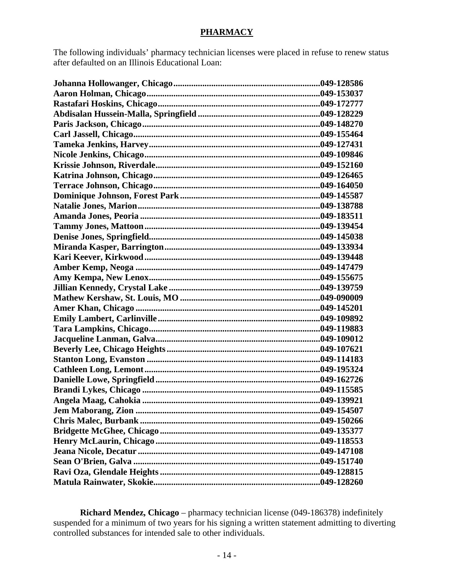#### **PHARMACY**

The following individuals' pharmacy technician licenses were placed in refuse to renew status after defaulted on an Illinois Educational Loan:

| Jem Maborang, Zion | 049-154507 |
|--------------------|------------|
|                    |            |
|                    |            |
|                    |            |
|                    |            |
|                    |            |
|                    |            |
|                    |            |

 **Richard Mendez, Chicago** – pharmacy technician license (049-186378) indefinitely suspended for a minimum of two years for his signing a written statement admitting to diverting controlled substances for intended sale to other individuals.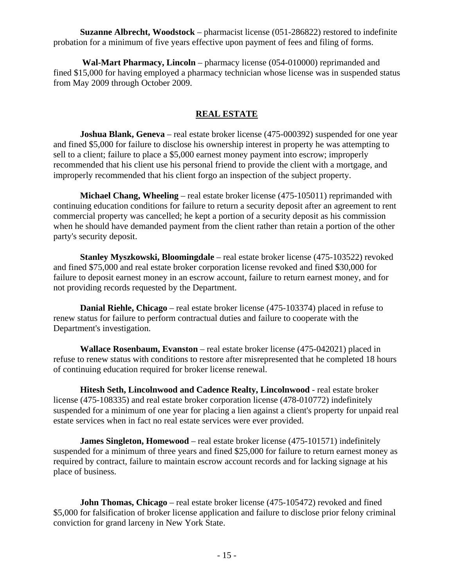**Suzanne Albrecht, Woodstock** – pharmacist license (051-286822) restored to indefinite probation for a minimum of five years effective upon payment of fees and filing of forms.

 **Wal-Mart Pharmacy, Lincoln** – pharmacy license (054-010000) reprimanded and fined \$15,000 for having employed a pharmacy technician whose license was in suspended status from May 2009 through October 2009.

#### **REAL ESTATE**

**Joshua Blank, Geneva** – real estate broker license (475-000392) suspended for one year and fined \$5,000 for failure to disclose his ownership interest in property he was attempting to sell to a client; failure to place a \$5,000 earnest money payment into escrow; improperly recommended that his client use his personal friend to provide the client with a mortgage, and improperly recommended that his client forgo an inspection of the subject property.

 **Michael Chang, Wheeling** – real estate broker license (475-105011) reprimanded with continuing education conditions for failure to return a security deposit after an agreement to rent commercial property was cancelled; he kept a portion of a security deposit as his commission when he should have demanded payment from the client rather than retain a portion of the other party's security deposit.

 **Stanley Myszkowski, Bloomingdale** – real estate broker license (475-103522) revoked and fined \$75,000 and real estate broker corporation license revoked and fined \$30,000 for failure to deposit earnest money in an escrow account, failure to return earnest money, and for not providing records requested by the Department.

 **Danial Riehle, Chicago** – real estate broker license (475-103374) placed in refuse to renew status for failure to perform contractual duties and failure to cooperate with the Department's investigation.

 **Wallace Rosenbaum, Evanston** – real estate broker license (475-042021) placed in refuse to renew status with conditions to restore after misrepresented that he completed 18 hours of continuing education required for broker license renewal.

 **Hitesh Seth, Lincolnwood and Cadence Realty, Lincolnwood** - real estate broker license (475-108335) and real estate broker corporation license (478-010772) indefinitely suspended for a minimum of one year for placing a lien against a client's property for unpaid real estate services when in fact no real estate services were ever provided.

 **James Singleton, Homewood** – real estate broker license (475-101571) indefinitely suspended for a minimum of three years and fined \$25,000 for failure to return earnest money as required by contract, failure to maintain escrow account records and for lacking signage at his place of business.

**John Thomas, Chicago** – real estate broker license (475-105472) revoked and fined \$5,000 for falsification of broker license application and failure to disclose prior felony criminal conviction for grand larceny in New York State.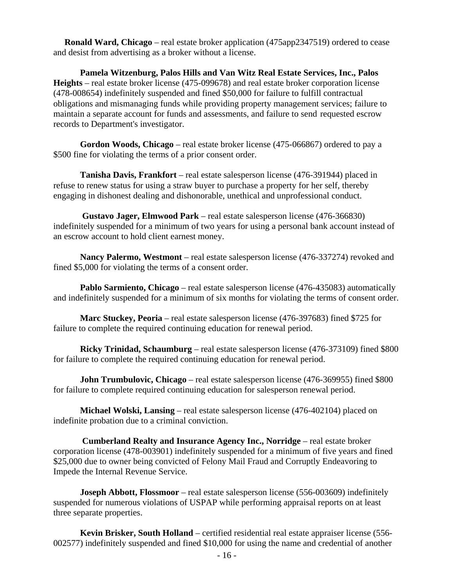**Ronald Ward, Chicago** – real estate broker application (475app2347519) ordered to cease and desist from advertising as a broker without a license.

 **Pamela Witzenburg, Palos Hills and Van Witz Real Estate Services, Inc., Palos Heights** – real estate broker license (475-099678) and real estate broker corporation license (478-008654) indefinitely suspended and fined \$50,000 for failure to fulfill contractual obligations and mismanaging funds while providing property management services; failure to maintain a separate account for funds and assessments, and failure to send requested escrow records to Department's investigator.

 **Gordon Woods, Chicago** – real estate broker license (475-066867) ordered to pay a \$500 fine for violating the terms of a prior consent order.

 **Tanisha Davis, Frankfort** – real estate salesperson license (476-391944) placed in refuse to renew status for using a straw buyer to purchase a property for her self, thereby engaging in dishonest dealing and dishonorable, unethical and unprofessional conduct.

 **Gustavo Jager, Elmwood Park** – real estate salesperson license (476-366830) indefinitely suspended for a minimum of two years for using a personal bank account instead of an escrow account to hold client earnest money.

 **Nancy Palermo, Westmont** – real estate salesperson license (476-337274) revoked and fined \$5,000 for violating the terms of a consent order.

**Pablo Sarmiento, Chicago** – real estate salesperson license (476-435083) automatically and indefinitely suspended for a minimum of six months for violating the terms of consent order.

 **Marc Stuckey, Peoria** – real estate salesperson license (476-397683) fined \$725 for failure to complete the required continuing education for renewal period.

 **Ricky Trinidad, Schaumburg** – real estate salesperson license (476-373109) fined \$800 for failure to complete the required continuing education for renewal period.

**John Trumbulovic, Chicago** – real estate salesperson license (476-369955) fined \$800 for failure to complete required continuing education for salesperson renewal period.

 **Michael Wolski, Lansing** – real estate salesperson license (476-402104) placed on indefinite probation due to a criminal conviction.

 **Cumberland Realty and Insurance Agency Inc., Norridge** – real estate broker corporation license (478-003901) indefinitely suspended for a minimum of five years and fined \$25,000 due to owner being convicted of Felony Mail Fraud and Corruptly Endeavoring to Impede the Internal Revenue Service.

 **Joseph Abbott, Flossmoor** – real estate salesperson license (556-003609) indefinitely suspended for numerous violations of USPAP while performing appraisal reports on at least three separate properties.

 **Kevin Brisker, South Holland** – certified residential real estate appraiser license (556- 002577) indefinitely suspended and fined \$10,000 for using the name and credential of another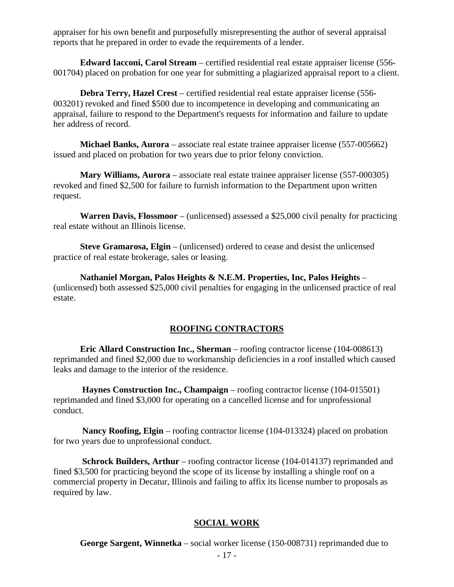appraiser for his own benefit and purposefully misrepresenting the author of several appraisal reports that he prepared in order to evade the requirements of a lender.

 **Edward Iacconi, Carol Stream** – certified residential real estate appraiser license (556- 001704) placed on probation for one year for submitting a plagiarized appraisal report to a client.

 **Debra Terry, Hazel Crest** – certified residential real estate appraiser license (556- 003201) revoked and fined \$500 due to incompetence in developing and communicating an appraisal, failure to respond to the Department's requests for information and failure to update her address of record.

 **Michael Banks, Aurora** – associate real estate trainee appraiser license (557-005662) issued and placed on probation for two years due to prior felony conviction.

 **Mary Williams, Aurora** – associate real estate trainee appraiser license (557-000305) revoked and fined \$2,500 for failure to furnish information to the Department upon written request.

 **Warren Davis, Flossmoor** – (unlicensed) assessed a \$25,000 civil penalty for practicing real estate without an Illinois license.

 **Steve Gramarosa, Elgin** – (unlicensed) ordered to cease and desist the unlicensed practice of real estate brokerage, sales or leasing.

 **Nathaniel Morgan, Palos Heights & N.E.M. Properties, Inc, Palos Heights** – (unlicensed) both assessed \$25,000 civil penalties for engaging in the unlicensed practice of real estate.

#### **ROOFING CONTRACTORS**

 **Eric Allard Construction Inc., Sherman** – roofing contractor license (104-008613) reprimanded and fined \$2,000 due to workmanship deficiencies in a roof installed which caused leaks and damage to the interior of the residence.

 **Haynes Construction Inc., Champaign** – roofing contractor license (104-015501) reprimanded and fined \$3,000 for operating on a cancelled license and for unprofessional conduct.

 **Nancy Roofing, Elgin** – roofing contractor license (104-013324) placed on probation for two years due to unprofessional conduct.

**Schrock Builders, Arthur** – roofing contractor license (104-014137) reprimanded and fined \$3,500 for practicing beyond the scope of its license by installing a shingle roof on a commercial property in Decatur, Illinois and failing to affix its license number to proposals as required by law.

#### **SOCIAL WORK**

**George Sargent, Winnetka** – social worker license (150-008731) reprimanded due to